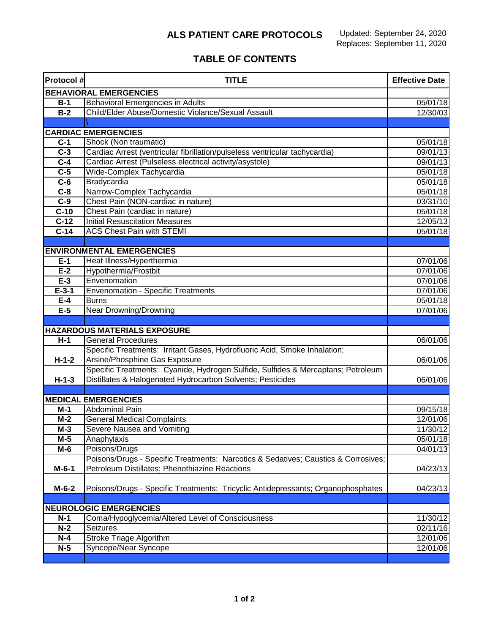## **ALS PATIENT CARE PROTOCOLS**

## **TABLE OF CONTENTS**

| <b>Protocol#</b>              | <b>TITLE</b>                                                                       | <b>Effective Date</b> |  |
|-------------------------------|------------------------------------------------------------------------------------|-----------------------|--|
| <b>BEHAVIORAL EMERGENCIES</b> |                                                                                    |                       |  |
| $B-1$                         | <b>Behavioral Emergencies in Adults</b>                                            | 05/01/18              |  |
| $B-2$                         | Child/Elder Abuse/Domestic Violance/Sexual Assault                                 | 12/30/03              |  |
|                               |                                                                                    |                       |  |
|                               | <b>CARDIAC EMERGENCIES</b>                                                         |                       |  |
| $C-1$                         | Shock (Non traumatic)                                                              | 05/01/18              |  |
| $\overline{C-3}$              | Cardiac Arrest (ventricular fibrillation/pulseless ventricular tachycardia)        | 09/01/13              |  |
| $\overline{C-4}$              | Cardiac Arrest (Pulseless electrical activity/asystole)                            | 09/01/13              |  |
| $C-5$                         | Wide-Complex Tachycardia                                                           | 05/01/18              |  |
| $\overline{C-6}$              | Bradycardia                                                                        | 05/01/18              |  |
| $C-8$                         | Narrow-Complex Tachycardia                                                         | 05/01/18              |  |
| $C-9$                         | Chest Pain (NON-cardiac in nature)                                                 | 03/31/10              |  |
| $C-10$                        | Chest Pain (cardiac in nature)                                                     | 05/01/18              |  |
| $C-12$                        | <b>Initial Resuscitation Measures</b>                                              | 12/05/13              |  |
| $C-14$                        | <b>ACS Chest Pain with STEMI</b>                                                   | 05/01/18              |  |
|                               |                                                                                    |                       |  |
|                               | <b>ENVIRONMENTAL EMERGENCIES</b>                                                   |                       |  |
| $E-1$                         | Heat Illness/Hyperthermia                                                          | 07/01/06              |  |
| $E-2$                         | Hypothermia/Frostbit                                                               | 07/01/06              |  |
| $E-3$                         | Envenomation                                                                       | 07/01/06              |  |
| $E-3-1$                       | <b>Envenomation - Specific Treatments</b>                                          | 07/01/06              |  |
| $E-4$                         | <b>Burns</b>                                                                       | 05/01/18              |  |
| $E-5$                         | <b>Near Drowning/Drowning</b>                                                      | 07/01/06              |  |
|                               |                                                                                    |                       |  |
|                               | <b>HAZARDOUS MATERIALS EXPOSURE</b>                                                |                       |  |
| $H-1$                         | <b>General Procedures</b>                                                          | 06/01/06              |  |
|                               | Specific Treatments: Irritant Gases, Hydrofluoric Acid, Smoke Inhalation;          |                       |  |
| $H-1-2$                       | Arsine/Phosphine Gas Exposure                                                      | 06/01/06              |  |
|                               | Specific Treatments: Cyanide, Hydrogen Sulfide, Sulfides & Mercaptans; Petroleum   |                       |  |
| $H-1-3$                       | Distillates & Halogenated Hydrocarbon Solvents; Pesticides                         | 06/01/06              |  |
|                               |                                                                                    |                       |  |
|                               | <b>MEDICAL EMERGENCIES</b>                                                         |                       |  |
| $M-1$                         | <b>Abdominal Pain</b>                                                              | 09/15/18              |  |
| $M-2$                         | <b>General Medical Complaints</b>                                                  | 12/01/06              |  |
| $M-3$                         | Severe Nausea and Vomiting                                                         | 11/30/12              |  |
| $M-5$                         | Anaphylaxis                                                                        | 05/01/18              |  |
| $M-6$                         | Poisons/Drugs                                                                      | 04/01/13              |  |
|                               | Poisons/Drugs - Specific Treatments: Narcotics & Sedatives; Caustics & Corrosives; |                       |  |
| $M-6-1$                       | Petroleum Distillates; Phenothiazine Reactions                                     | 04/23/13              |  |
| $M-6-2$                       | Poisons/Drugs - Specific Treatments: Tricyclic Antidepressants; Organophosphates   | 04/23/13              |  |
|                               |                                                                                    |                       |  |
| <b>NEUROLOGIC EMERGENCIES</b> |                                                                                    |                       |  |
| $N-1$                         | Coma/Hypoglycemia/Altered Level of Consciousness                                   | 11/30/12              |  |
| $N-2$                         | Seizures                                                                           | 02/11/16              |  |
| $N-4$                         | <b>Stroke Triage Algorithm</b>                                                     | 12/01/06              |  |
| $\overline{N}$ -5             | Syncope/Near Syncope                                                               | 12/01/06              |  |
|                               |                                                                                    |                       |  |